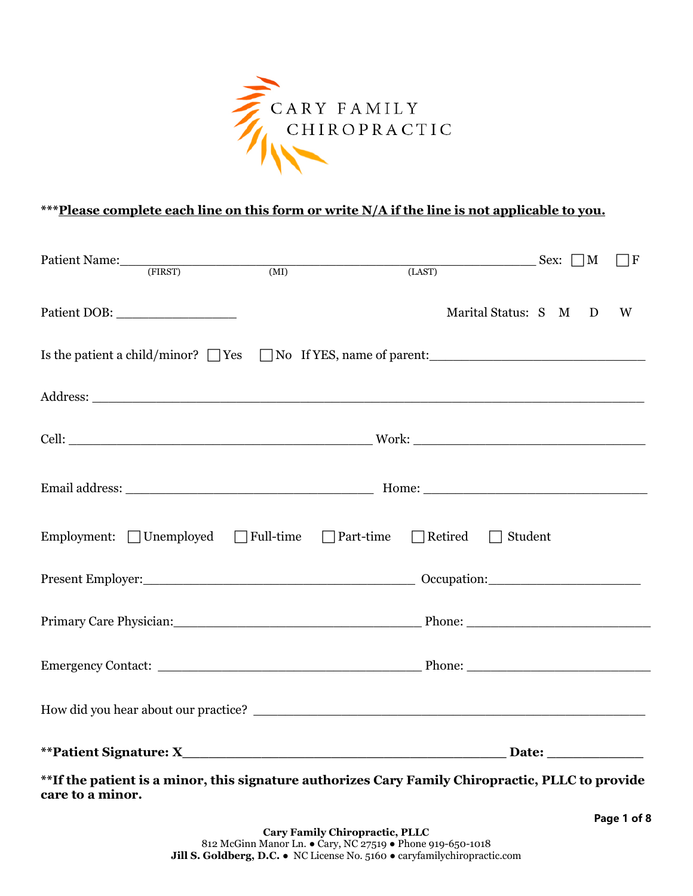

#### **\*\*\*Please complete each line on this form or write N/A if the line is not applicable to you.**

| Patient Name: (FIRST)                                                                                                                                                                                                          | $\overline{\text{(MI)}}$ | (LAST) | $Sex: \Box M$         |  | $\Box F$ |
|--------------------------------------------------------------------------------------------------------------------------------------------------------------------------------------------------------------------------------|--------------------------|--------|-----------------------|--|----------|
|                                                                                                                                                                                                                                |                          |        | Marital Status: S M D |  | W        |
|                                                                                                                                                                                                                                |                          |        |                       |  |          |
|                                                                                                                                                                                                                                |                          |        |                       |  |          |
|                                                                                                                                                                                                                                |                          |        |                       |  |          |
|                                                                                                                                                                                                                                |                          |        |                       |  |          |
| Employment: Unemployed T Full-time T Part-time T Retired                                                                                                                                                                       |                          |        | Student<br>$\sim$     |  |          |
|                                                                                                                                                                                                                                |                          |        |                       |  |          |
| Primary Care Physician: Phone: Phone: Phone: Phone: Phone: Phone: Phone: Phone: Phone: Phone: Phone: Phone: Phone: Phone: Phone: Phone: Phone: Phone: Phone: Phone: Phone: Phone: Phone: Phone: Phone: Phone: Phone: Phone: Ph |                          |        |                       |  |          |
|                                                                                                                                                                                                                                |                          |        |                       |  |          |
| How did you hear about our practice?                                                                                                                                                                                           |                          |        |                       |  |          |
|                                                                                                                                                                                                                                |                          |        |                       |  |          |
| **If the patient is a minor, this signature authorizes Cary Family Chiropractic, PLLC to provide                                                                                                                               |                          |        |                       |  |          |

**\*\*If the patient is a minor, this signature authorizes Cary Family Chiropractic, PLLC to provide care to a minor.**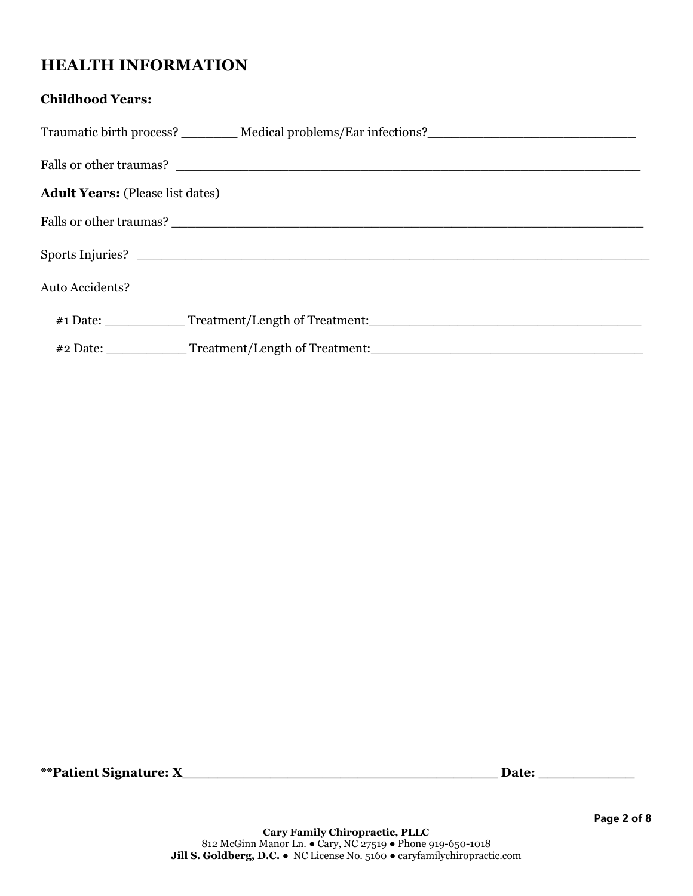### **HEALTH INFORMATION**

#### **Childhood Years:**

|                                         | Traumatic birth process? __________ Medical problems/Ear infections? _______________________________ |
|-----------------------------------------|------------------------------------------------------------------------------------------------------|
|                                         |                                                                                                      |
| <b>Adult Years:</b> (Please list dates) |                                                                                                      |
|                                         |                                                                                                      |
|                                         | Sports Injuries?                                                                                     |
| <b>Auto Accidents?</b>                  |                                                                                                      |
|                                         | #1 Date: Treatment/Length of Treatment:                                                              |
|                                         | #2 Date: ______________Treatment/Length of Treatment: __________________________                     |

**\*\*Patient Signature: X\_\_\_\_\_\_\_\_\_\_\_\_\_\_\_\_\_\_\_\_\_\_\_\_\_\_\_\_\_\_\_\_\_\_\_\_ Date: \_\_\_\_\_\_\_\_\_\_\_**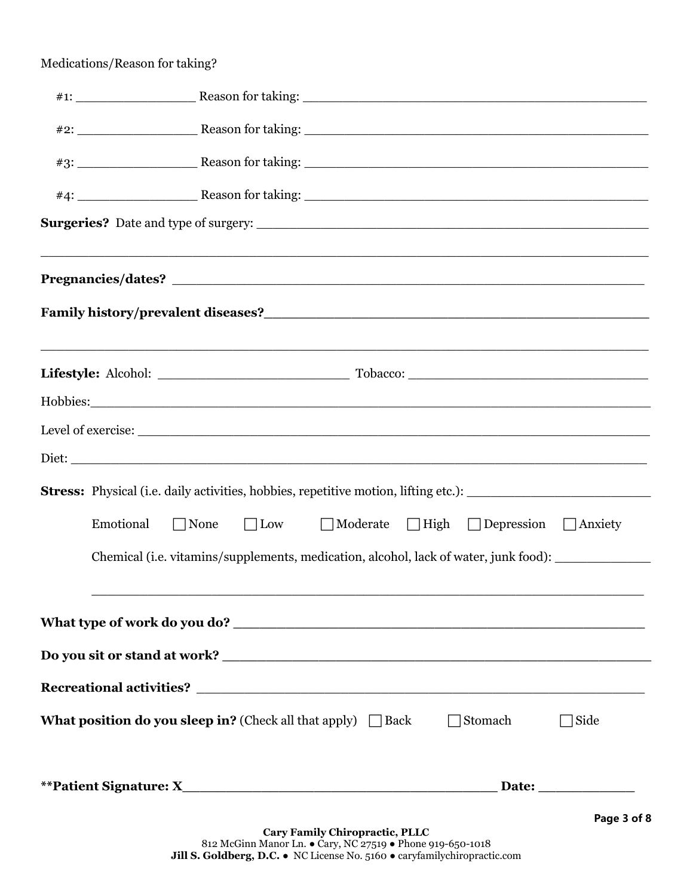#### Medications/Reason for taking?

| <u> 1989 - Johann John Stone, amerikan bernama di sebagai bernama di sebagai bernama di sebagai bernama di sebagai</u> |
|------------------------------------------------------------------------------------------------------------------------|
|                                                                                                                        |
|                                                                                                                        |
|                                                                                                                        |
|                                                                                                                        |
|                                                                                                                        |
| Emotional<br>□ Low □ Moderate □ High □ Depression □ Anxiety<br>$\Box$ None                                             |
| Chemical (i.e. vitamins/supplements, medication, alcohol, lack of water, junk food):                                   |
|                                                                                                                        |
|                                                                                                                        |
|                                                                                                                        |
|                                                                                                                        |
|                                                                                                                        |
| <b>What position do you sleep in?</b> (Check all that apply) $\Box$ Back<br>$\Box$ Stomach<br>  Side                   |
|                                                                                                                        |
|                                                                                                                        |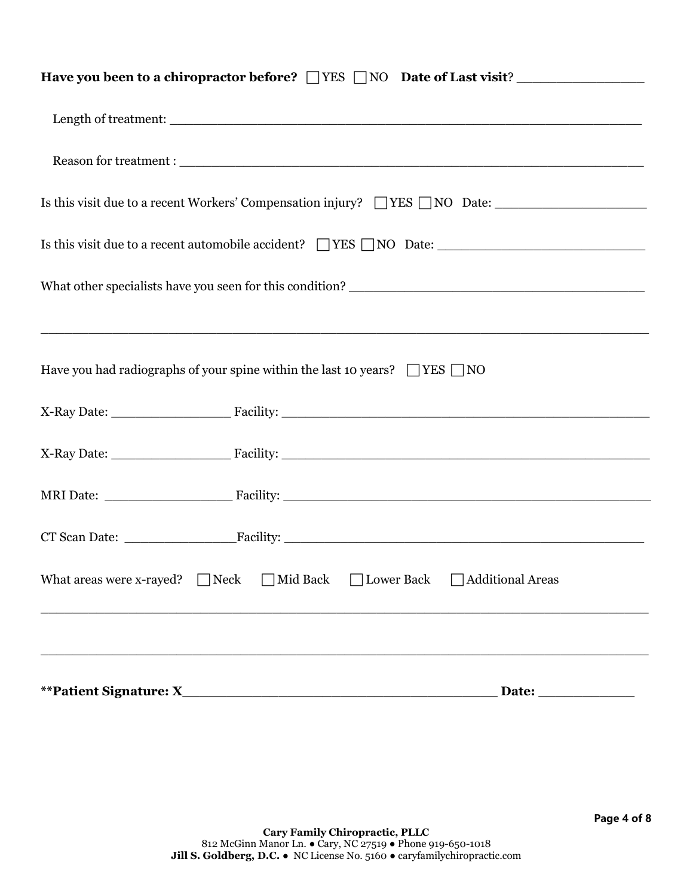| Have you been to a chiropractor before? TYES NO Date of Last visit?                   |                                                                                                      |  |
|---------------------------------------------------------------------------------------|------------------------------------------------------------------------------------------------------|--|
|                                                                                       |                                                                                                      |  |
|                                                                                       |                                                                                                      |  |
|                                                                                       | Is this visit due to a recent Workers' Compensation injury? TYES NO Date: __________________________ |  |
|                                                                                       |                                                                                                      |  |
|                                                                                       |                                                                                                      |  |
|                                                                                       |                                                                                                      |  |
| Have you had radiographs of your spine within the last 10 years? $\Box$ YES $\Box$ NO |                                                                                                      |  |
|                                                                                       |                                                                                                      |  |
|                                                                                       |                                                                                                      |  |
|                                                                                       |                                                                                                      |  |
|                                                                                       |                                                                                                      |  |
| What areas were x-rayed? $\Box$ Neck $\Box$ Mid Back                                  | $\Box$ Lower Back $\Box$ Additional Areas                                                            |  |
|                                                                                       |                                                                                                      |  |
| <i><b>**Patient Signature: X_</b></i>                                                 | Date:                                                                                                |  |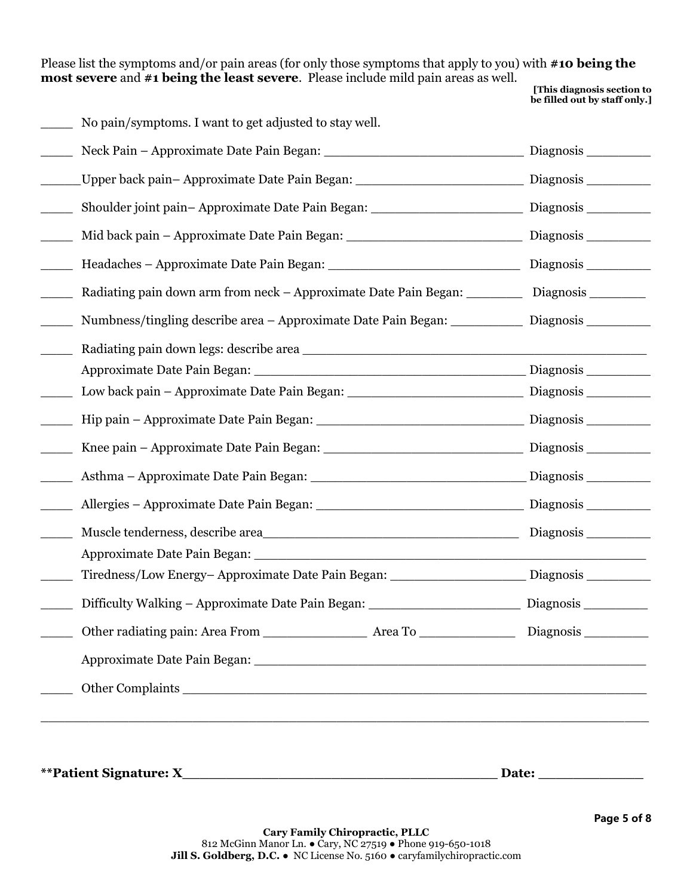Please list the symptoms and/or pain areas (for only those symptoms that apply to you) with **#10 being the most severe** and **#1 being the least severe**. Please include mild pain areas as well.

**[This diagnosis section to be filled out by staff only.]**

\_\_\_\_ No pain/symptoms. I want to get adjusted to stay well.

| Shoulder joint pain-Approximate Date Pain Began: _______________________________                     | Diagnosis ___________ |
|------------------------------------------------------------------------------------------------------|-----------------------|
| Mid back pain – Approximate Date Pain Began: ___________________________________                     | Diagnosis             |
|                                                                                                      |                       |
| Radiating pain down arm from neck – Approximate Date Pain Began:                                     |                       |
| Numbness/tingling describe area – Approximate Date Pain Began: Diagnosis ________                    |                       |
|                                                                                                      |                       |
|                                                                                                      |                       |
|                                                                                                      |                       |
|                                                                                                      |                       |
|                                                                                                      |                       |
|                                                                                                      |                       |
|                                                                                                      |                       |
| Muscle tenderness, describe area                                                                     |                       |
|                                                                                                      |                       |
| Tiredness/Low Energy-Approximate Date Pain Began: _________________________Diagnosis _______________ |                       |
|                                                                                                      |                       |
|                                                                                                      |                       |
|                                                                                                      |                       |
|                                                                                                      |                       |
|                                                                                                      |                       |

**\*\*Patient Signature: X\_\_\_\_\_\_\_\_\_\_\_\_\_\_\_\_\_\_\_\_\_\_\_\_\_\_\_\_\_\_\_\_\_\_\_\_ Date: \_\_\_\_\_\_\_\_\_\_\_\_**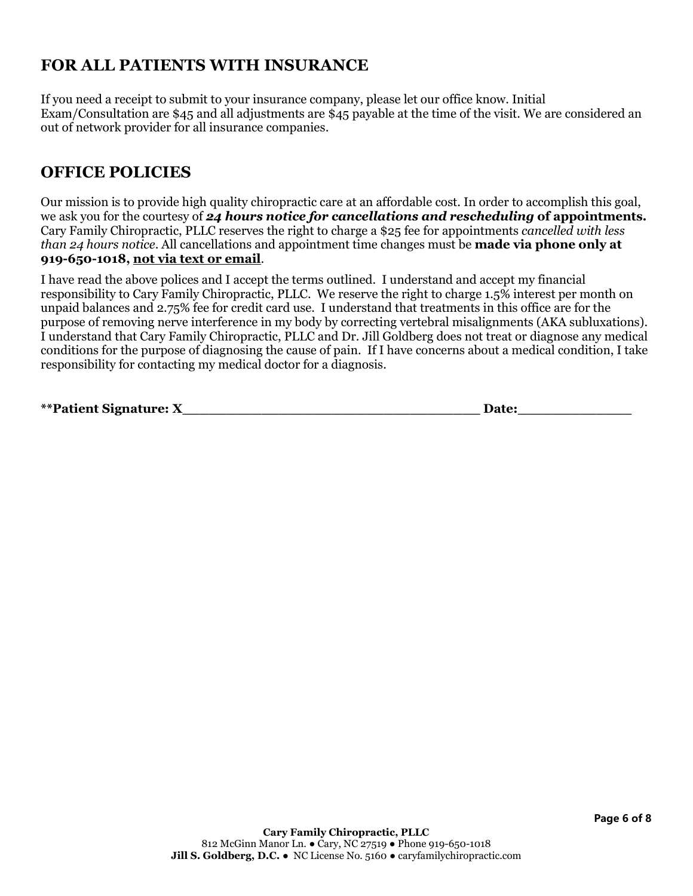## **FOR ALL PATIENTS WITH INSURANCE**

If you need a receipt to submit to your insurance company, please let our office know. Initial Exam/Consultation are \$45 and all adjustments are \$45 payable at the time of the visit. We are considered an out of network provider for all insurance companies.

### **OFFICE POLICIES**

Our mission is to provide high quality chiropractic care at an affordable cost. In order to accomplish this goal, we ask you for the courtesy of *24 hours notice for cancellations and rescheduling* **of appointments.**  Cary Family Chiropractic, PLLC reserves the right to charge a \$25 fee for appointments *cancelled with less than 24 hours notice*. All cancellations and appointment time changes must be **made via phone only at 919-650-1018, not via text or email**.

I have read the above polices and I accept the terms outlined. I understand and accept my financial responsibility to Cary Family Chiropractic, PLLC. We reserve the right to charge 1.5% interest per month on unpaid balances and 2.75% fee for credit card use. I understand that treatments in this office are for the purpose of removing nerve interference in my body by correcting vertebral misalignments (AKA subluxations). I understand that Cary Family Chiropractic, PLLC and Dr. Jill Goldberg does not treat or diagnose any medical conditions for the purpose of diagnosing the cause of pain. If I have concerns about a medical condition, I take responsibility for contacting my medical doctor for a diagnosis.

| **Patient Signature: $\lambda$ |  |
|--------------------------------|--|
|                                |  |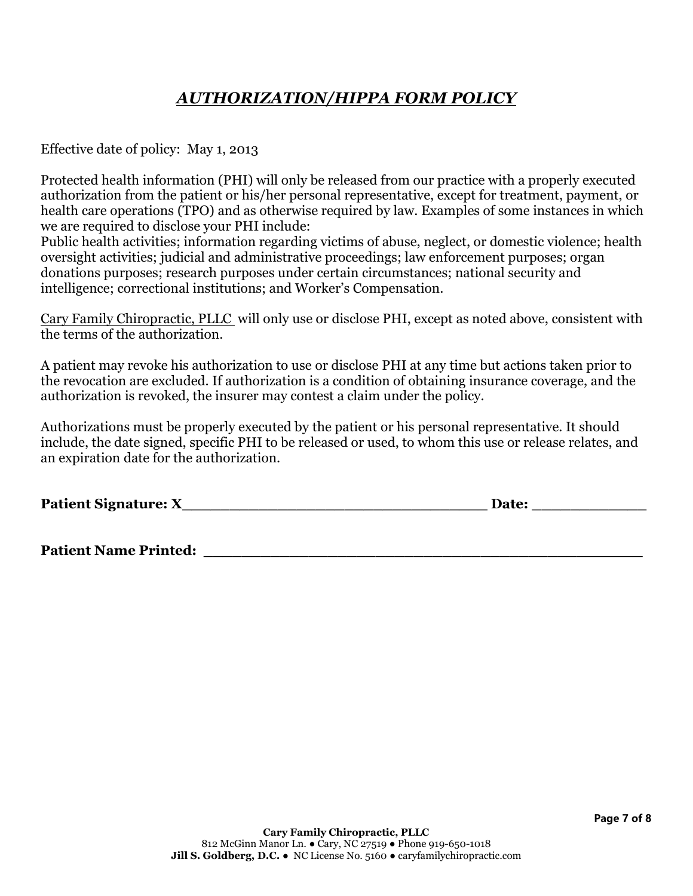## *AUTHORIZATION/HIPPA FORM POLICY*

Effective date of policy: May 1, 2013

Protected health information (PHI) will only be released from our practice with a properly executed authorization from the patient or his/her personal representative, except for treatment, payment, or health care operations (TPO) and as otherwise required by law. Examples of some instances in which we are required to disclose your PHI include:

Public health activities; information regarding victims of abuse, neglect, or domestic violence; health oversight activities; judicial and administrative proceedings; law enforcement purposes; organ donations purposes; research purposes under certain circumstances; national security and intelligence; correctional institutions; and Worker's Compensation.

Cary Family Chiropractic, PLLC will only use or disclose PHI, except as noted above, consistent with the terms of the authorization.

A patient may revoke his authorization to use or disclose PHI at any time but actions taken prior to the revocation are excluded. If authorization is a condition of obtaining insurance coverage, and the authorization is revoked, the insurer may contest a claim under the policy.

Authorizations must be properly executed by the patient or his personal representative. It should include, the date signed, specific PHI to be released or used, to whom this use or release relates, and an expiration date for the authorization.

**Patient Signature: X\_\_\_\_\_\_\_\_\_\_\_\_\_\_\_\_\_\_\_\_\_\_\_\_\_\_\_\_\_\_\_\_ Date: \_\_\_\_\_\_\_\_\_\_\_\_** 

Patient Name Printed: **with a set of the set of the set of the set of the set of the set of the set of the set o**